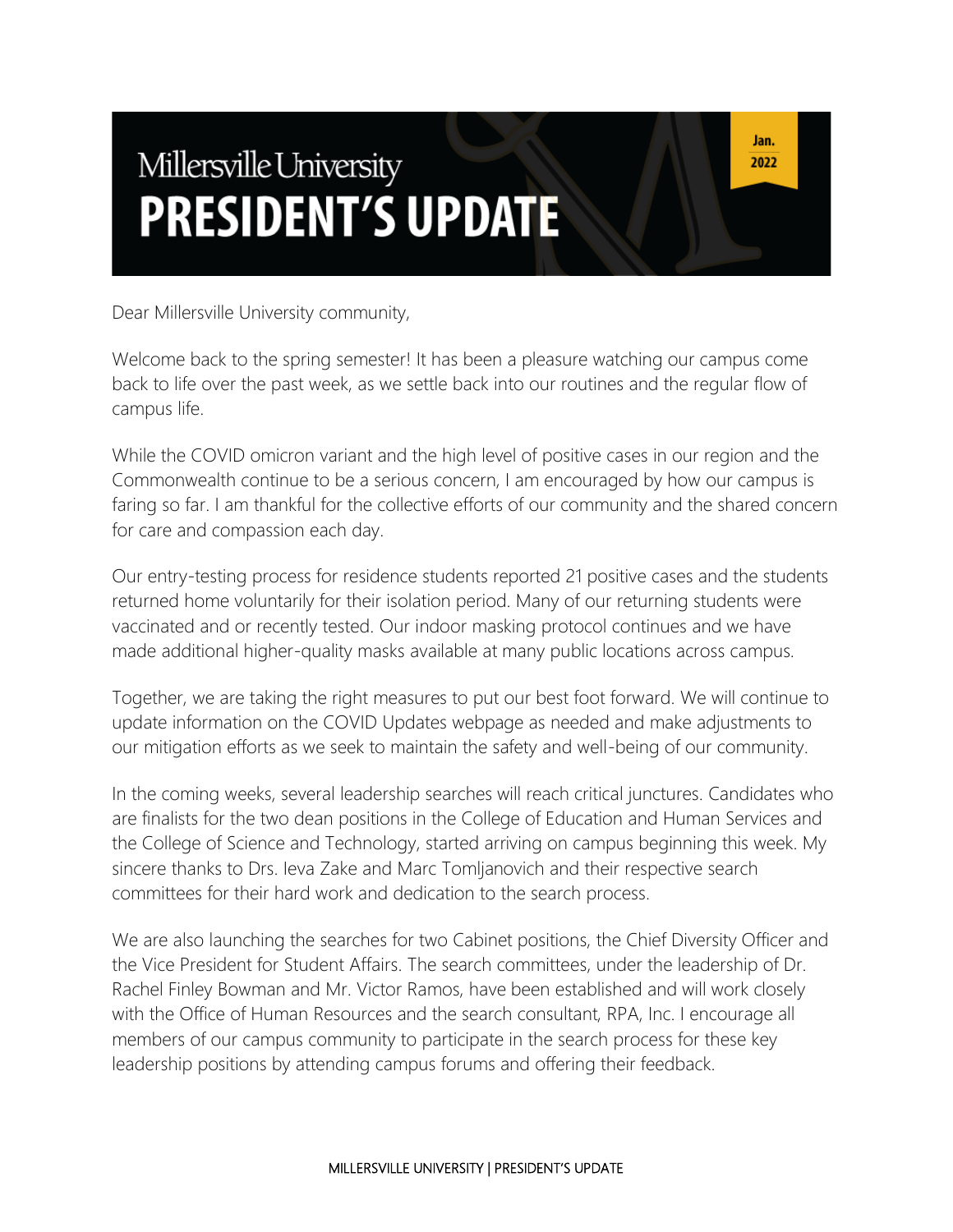# Millersville University **PRESIDENT'S UPDATE**

Dear Millersville University community,

Welcome back to the spring semester! It has been a pleasure watching our campus come back to life over the past week, as we settle back into our routines and the regular flow of campus life.

While the COVID omicron variant and the high level of positive cases in our region and the Commonwealth continue to be a serious concern, I am encouraged by how our campus is faring so far. I am thankful for the collective efforts of our community and the shared concern for care and compassion each day.

Our entry-testing process for residence students reported 21 positive cases and the students returned home voluntarily for their isolation period. Many of our returning students were vaccinated and or recently tested. Our indoor masking protocol continues and we have made additional higher-quality masks available at many public locations across campus.

Together, we are taking the right measures to put our best foot forward. We will continue to update information on the COVID Updates webpage as needed and make adjustments to our mitigation efforts as we seek to maintain the safety and well-being of our community.

In the coming weeks, several leadership searches will reach critical junctures. Candidates who are finalists for the two dean positions in the College of Education and Human Services and the College of Science and Technology, started arriving on campus beginning this week. My sincere thanks to Drs. Ieva Zake and Marc Tomljanovich and their respective search committees for their hard work and dedication to the search process.

We are also launching the searches for two Cabinet positions, the Chief Diversity Officer and the Vice President for Student Affairs. The search committees, under the leadership of Dr. Rachel Finley Bowman and Mr. Victor Ramos, have been established and will work closely with the Office of Human Resources and the search consultant, RPA, Inc. I encourage all members of our campus community to participate in the search process for these key leadership positions by attending campus forums and offering their feedback.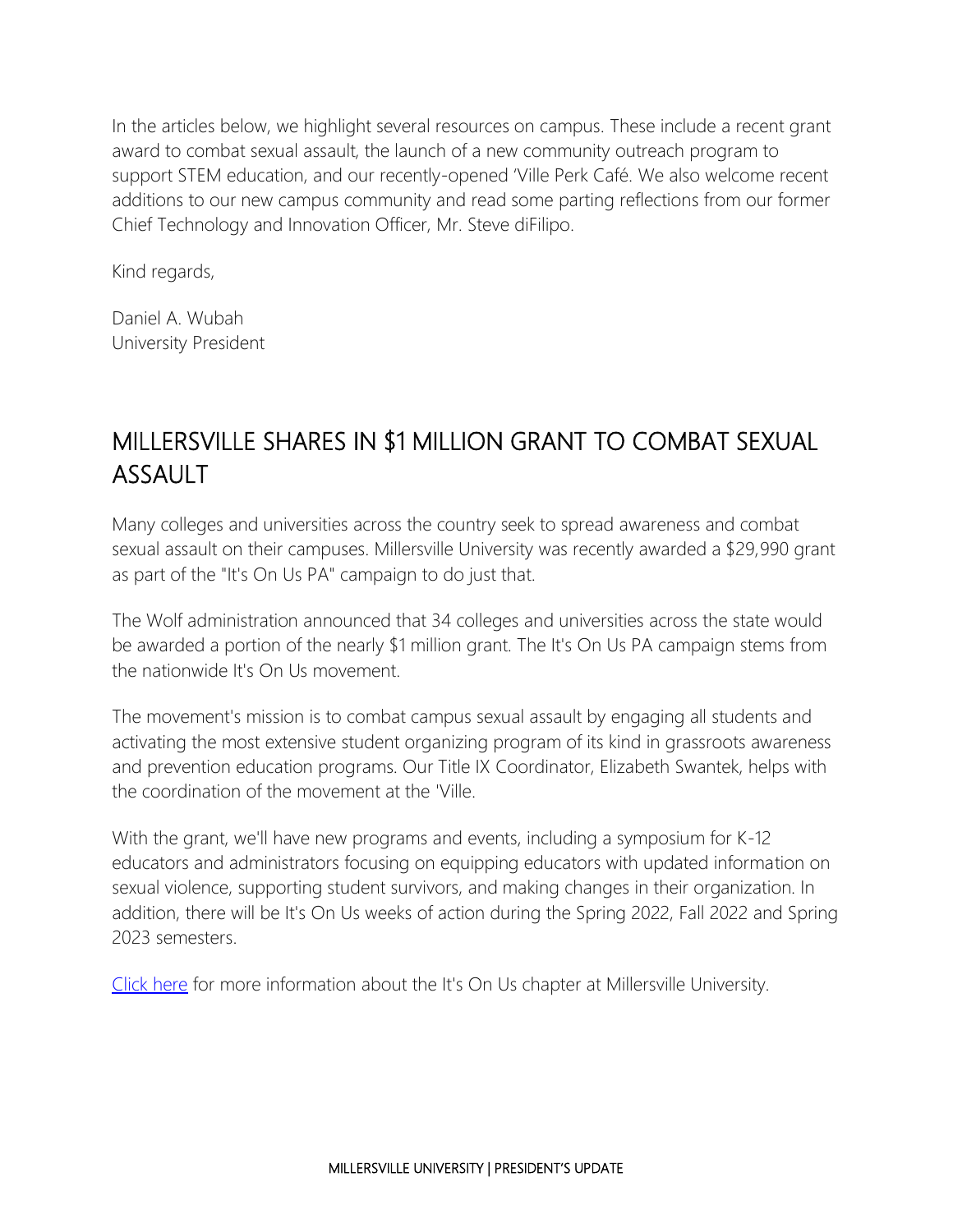In the articles below, we highlight several resources on campus. These include a recent grant award to combat sexual assault, the launch of a new community outreach program to support STEM education, and our recently-opened 'Ville Perk Café. We also welcome recent additions to our new campus community and read some parting reflections from our former Chief Technology and Innovation Officer, Mr. Steve diFilipo.

Kind regards,

Daniel A. Wubah University President

## MILLERSVILLE SHARES IN \$1 MILLION GRANT TO COMBAT SEXUAL ASSAULT

Many colleges and universities across the country seek to spread awareness and combat sexual assault on their campuses. Millersville University was recently awarded a \$29,990 grant as part of the "It's On Us PA" campaign to do just that.

The Wolf administration announced that 34 colleges and universities across the state would be awarded a portion of the nearly \$1 million grant. The It's On Us PA campaign stems from the nationwide It's On Us movement.

The movement's mission is to combat campus sexual assault by engaging all students and activating the most extensive student organizing program of its kind in grassroots awareness and prevention education programs. Our Title IX Coordinator, Elizabeth Swantek, helps with the coordination of the movement at the 'Ville.

With the grant, we'll have new programs and events, including a symposium for K-12 educators and administrators focusing on equipping educators with updated information on sexual violence, supporting student survivors, and making changes in their organization. In addition, there will be It's On Us weeks of action during the Spring 2022, Fall 2022 and Spring 2023 semesters.

[Click here](https://www.millersville.edu/titleix/itsonus.php) for more information about the It's On Us chapter at Millersville University.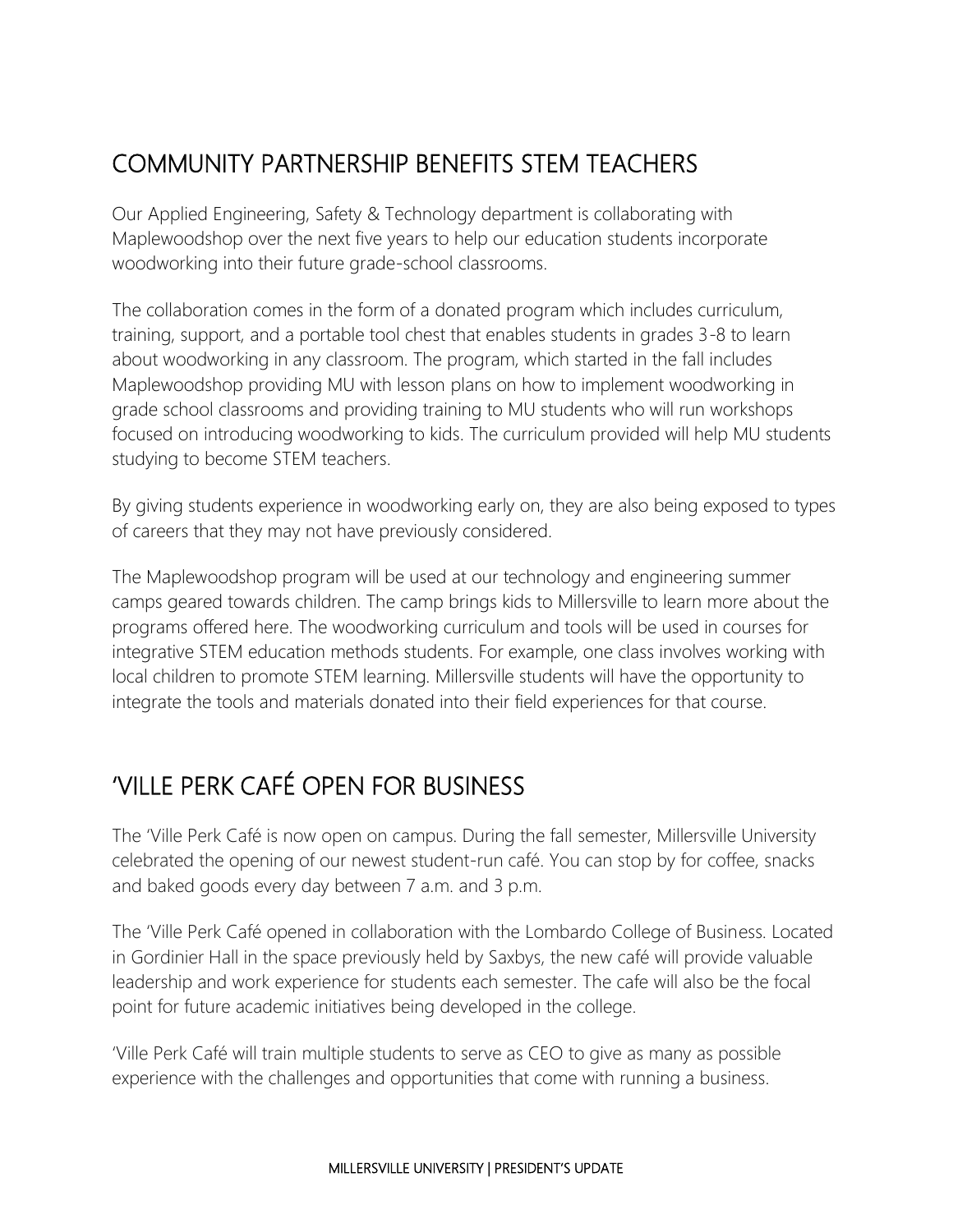# COMMUNITY PARTNERSHIP BENEFITS STEM TEACHERS

Our Applied Engineering, Safety & Technology department is collaborating with Maplewoodshop over the next five years to help our education students incorporate woodworking into their future grade-school classrooms.

The collaboration comes in the form of a donated program which includes curriculum, training, support, and a portable tool chest that enables students in grades 3-8 to learn about woodworking in any classroom. The program, which started in the fall includes Maplewoodshop providing MU with lesson plans on how to implement woodworking in grade school classrooms and providing training to MU students who will run workshops focused on introducing woodworking to kids. The curriculum provided will help MU students studying to become STEM teachers.

By giving students experience in woodworking early on, they are also being exposed to types of careers that they may not have previously considered.

The Maplewoodshop program will be used at our technology and engineering summer camps geared towards children. The camp brings kids to Millersville to learn more about the programs offered here. The woodworking curriculum and tools will be used in courses for integrative STEM education methods students. For example, one class involves working with local children to promote STEM learning. Millersville students will have the opportunity to integrate the tools and materials donated into their field experiences for that course.

## 'VILLE PERK CAFÉ OPEN FOR BUSINESS

The 'Ville Perk Café is now open on campus. During the fall semester, Millersville University celebrated the opening of our newest student-run café. You can stop by for coffee, snacks and baked goods every day between 7 a.m. and 3 p.m.

The 'Ville Perk Café opened in collaboration with the Lombardo College of Business. Located in Gordinier Hall in the space previously held by Saxbys, the new café will provide valuable leadership and work experience for students each semester. The cafe will also be the focal point for future academic initiatives being developed in the college.

'Ville Perk Café will train multiple students to serve as CEO to give as many as possible experience with the challenges and opportunities that come with running a business.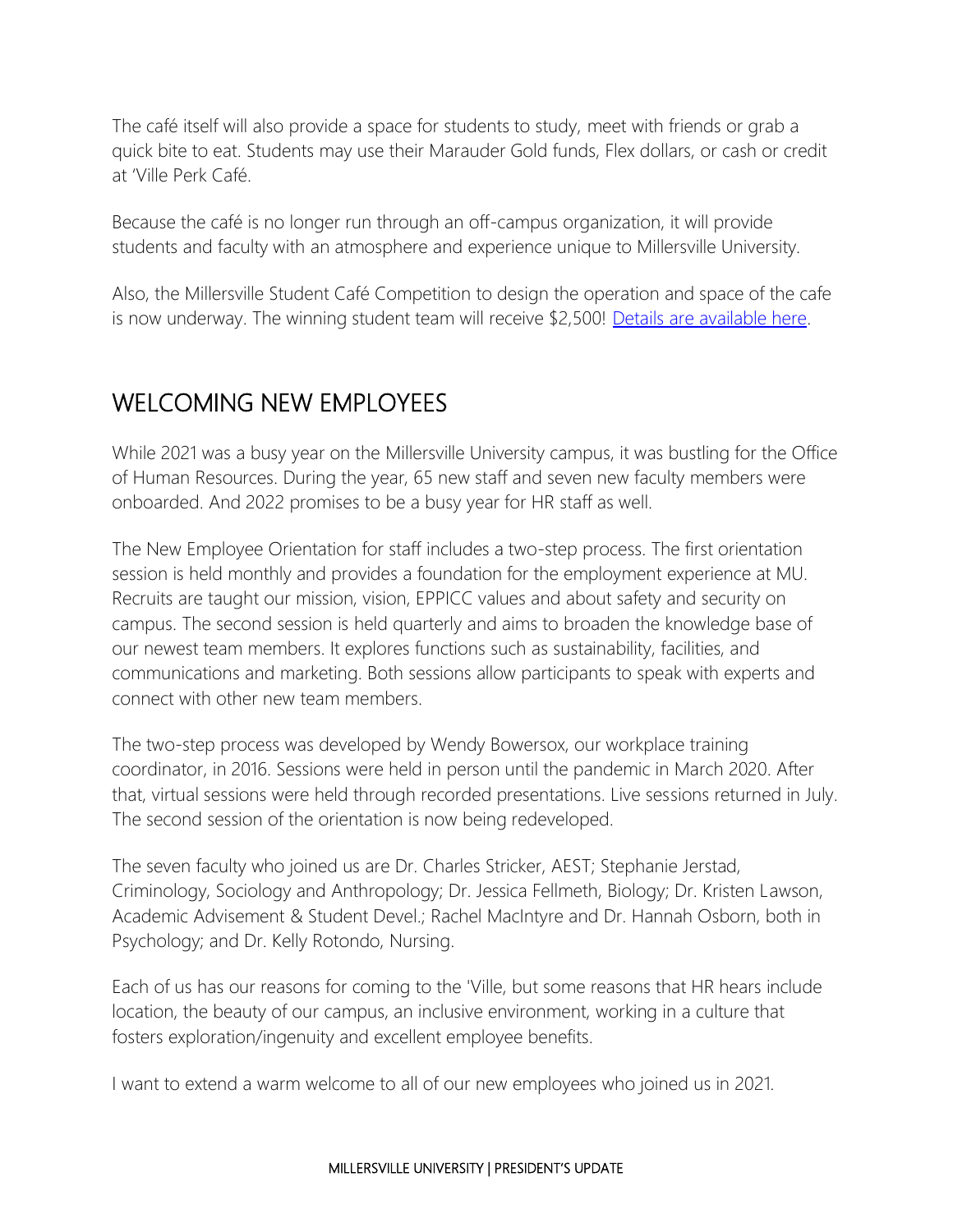The café itself will also provide a space for students to study, meet with friends or grab a quick bite to eat. Students may use their Marauder Gold funds, Flex dollars, or cash or credit at 'Ville Perk Café.

Because the café is no longer run through an off-campus organization, it will provide students and faculty with an atmosphere and experience unique to Millersville University.

Also, the Millersville Student Café Competition to design the operation and space of the cafe is now underway. The winning student team will receive \$2,500! [Details are available here.](https://forms.office.com/Pages/ResponsePage.aspx?id=lDfskvC4k0-3M3owqKK1Gxaud6fpCoxPo1jkRJciqKJURFdQWVNIT1RXV0lNNDNCTUxJVEFPT05WUy4u&wdLOR=c74A4EA55-46E9-674D-B01E-D5E0987052D7)

### WELCOMING NEW EMPLOYEES

While 2021 was a busy year on the Millersville University campus, it was bustling for the Office of Human Resources. During the year, 65 new staff and seven new faculty members were onboarded. And 2022 promises to be a busy year for HR staff as well.

The New Employee Orientation for staff includes a two-step process. The first orientation session is held monthly and provides a foundation for the employment experience at MU. Recruits are taught our mission, vision, EPPICC values and about safety and security on campus. The second session is held quarterly and aims to broaden the knowledge base of our newest team members. It explores functions such as sustainability, facilities, and communications and marketing. Both sessions allow participants to speak with experts and connect with other new team members.

The two-step process was developed by Wendy Bowersox, our workplace training coordinator, in 2016. Sessions were held in person until the pandemic in March 2020. After that, virtual sessions were held through recorded presentations. Live sessions returned in July. The second session of the orientation is now being redeveloped.

The seven faculty who joined us are Dr. Charles Stricker, AEST; Stephanie Jerstad, Criminology, Sociology and Anthropology; Dr. Jessica Fellmeth, Biology; Dr. Kristen Lawson, Academic Advisement & Student Devel.; Rachel MacIntyre and Dr. Hannah Osborn, both in Psychology; and Dr. Kelly Rotondo, Nursing.

Each of us has our reasons for coming to the 'Ville, but some reasons that HR hears include location, the beauty of our campus, an inclusive environment, working in a culture that fosters exploration/ingenuity and excellent employee benefits.

I want to extend a warm welcome to all of our new employees who joined us in 2021.